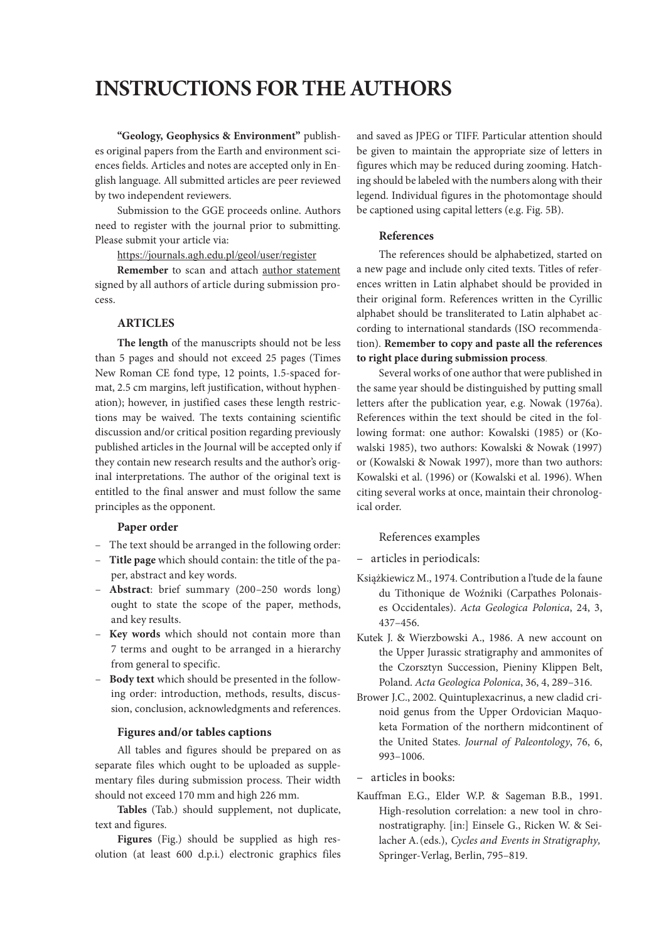# **INSTRUCTIONS FOR THE AUTHORS**

**"Geology, Geophysics & Environment"** publishes original papers from the Earth and environment sciences fields. Articles and notes are accepted only in English language. All submitted articles are peer reviewed by two independent reviewers.

Submission to the GGE proceeds online. Authors need to register with the journal prior to submitting. Please submit your article via:

https://journals.agh.edu.pl/geol/user/register

**Remember** to scan and attach author statement **Remember** to scan and attach <u>[author statement](journals.agh.edu.pl/public/journals/7/author_statement.doc)</u> signed by all authors of article during submission process. cess.

# **ARTICLES**

**The length** of the manuscripts should not be less than 5 pages and should not exceed 25 pages (Times New Roman CE fond type, 12 points, 1.5-spaced format, 2.5 cm margins, left justification, without hyphenation); however, in justified cases these length restrictions may be waived. The texts containing scientific discussion and/or critical position regarding previously published articles in the Journal will be accepted only if they contain new research results and the author's original interpretations. The author of the original text is entitled to the final answer and must follow the same principles as the opponent.

#### **Paper order**

- The text should be arranged in the following order:
- **Title page** which should contain: the title of the paper, abstract and key words.
- **Abstract**: brief summary (200–250 words long) ought to state the scope of the paper, methods, and key results.
- **Key words** which should not contain more than 7 terms and ought to be arranged in a hierarchy from general to specific.
- **Body text** which should be presented in the following order: introduction, methods, results, discussion, conclusion, acknowledgments and references.

# **Figures and/or tables captions**

All tables and figures should be prepared on as separate files which ought to be uploaded as supplementary files during submission process. Their width should not exceed 170 mm and high 226 mm.

**Tables** (Tab.) should supplement, not duplicate, text and figures.

**Figures** (Fig.) should be supplied as high resolution (at least 600 d.p.i.) electronic graphics files

and saved as JPEG or TIFF. Particular attention should be given to maintain the appropriate size of letters in figures which may be reduced during zooming. Hatching should be labeled with the numbers along with their legend. Individual figures in the photomontage should be captioned using capital letters (e.g. Fig. 5B).

#### **References**

The references should be alphabetized, started on a new page and include only cited texts. Titles of references written in Latin alphabet should be provided in their original form. References written in the Cyrillic alphabet should be transliterated to Latin alphabet according to international standards (ISO recommendation). **Remember to copy and paste all the references to right place during submission process**.

Several works of one author that were published in the same year should be distinguished by putting small letters after the publication year, e.g. Nowak (1976a). References within the text should be cited in the following format: one author: Kowalski (1985) or (Kowalski 1985), two authors: Kowalski & Nowak (1997) or (Kowalski & Nowak 1997), more than two authors: Kowalski et al. (1996) or (Kowalski et al. 1996). When citing several works at once, maintain their chronological order.

# References examples

- articles in periodicals:
- Książkiewicz M., 1974. Contribution a l'tude de la faune du Tithonique de Woźniki (Carpathes Polonaises Occidentales). *Acta Geologica Polonica*, 24, 3, 437–456.
- Kutek J. & Wierzbowski A., 1986. A new account on the Upper Jurassic stratigraphy and ammonites of the Czorsztyn Succession, Pieniny Klippen Belt, Poland. *Acta Geologica Polonica*, 36, 4, 289–316.
- Brower J.C., 2002. Quintuplexacrinus, a new cladid crinoid genus from the Upper Ordovician Maquoketa Formation of the northern midcontinent of the United States. *Journal of Paleontology*, 76, 6, 993–1006.

– articles in books:

Kauffman E.G., Elder W.P. & Sageman B.B., 1991. High-resolution correlation: a new tool in chronostratigraphy. [in:] Einsele G., Ricken W. & Seilacher A.(eds.), *Cycles and Events in Stratigraphy,*  Springer-Verlag, Berlin, 795–819.